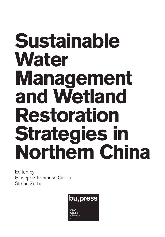## **Sustainable Water Management and Wetland Restoration Strategies in Northern China**

Edited by Giuseppe Tommaso Cirella Stefan Zerbe

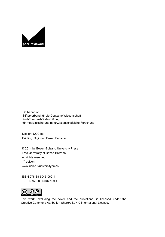

On behalf of Stifterverband für die Deutsche Wissenschaft Kurt-Eberhard-Bode-Stiftung für medizinische und naturwissenschaftliche Forschung

Design: DOC.bz Printing: Digiprint, Bozen/Bolzano

© 2014 by Bozen-Bolzano University Press Free University of Bozen-Bolzano All rights reserved 1 st edition www.unibz.it/universitypress

ISBN 978-88-6046-069-1 E-ISBN 978-88-6046-109-4



[This work—excluding the cover and the quotations—is licensed under the](https://creativecommons.org/licenses/by-sa/4.0/)  Creative Commons Attribution-ShareAlike 4.0 International License.